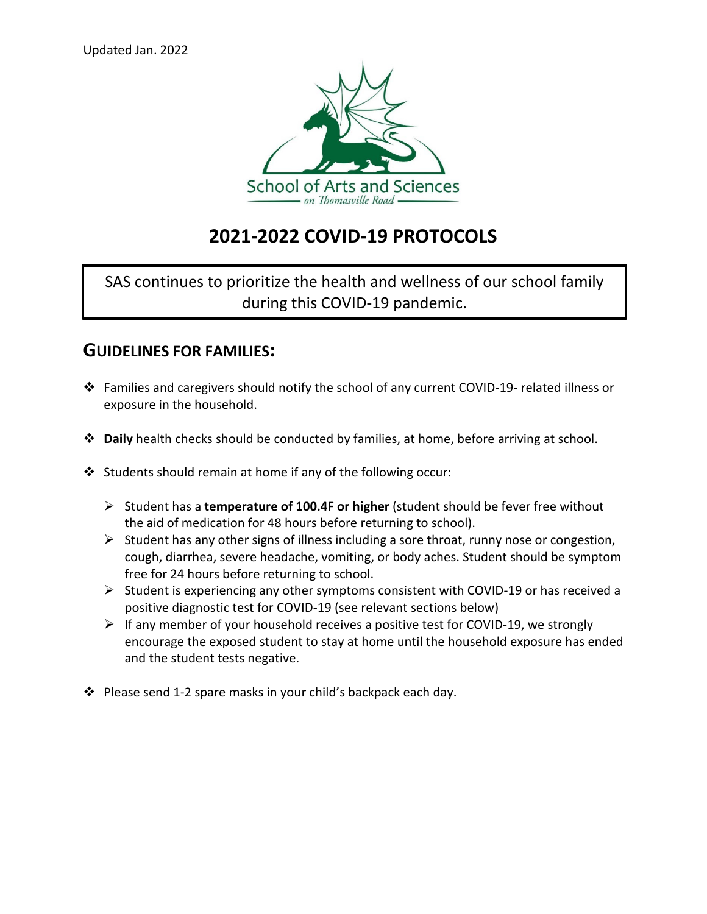

# **2021-2022 COVID-19 PROTOCOLS**

SAS continues to prioritize the health and wellness of our school family during this COVID-19 pandemic.

# **GUIDELINES FOR FAMILIES:**

- Families and caregivers should notify the school of any current COVID-19- related illness or exposure in the household.
- **Daily** health checks should be conducted by families, at home, before arriving at school.
- Students should remain at home if any of the following occur:
	- Student has a **temperature of 100.4F or higher** (student should be fever free without the aid of medication for 48 hours before returning to school).
	- $\triangleright$  Student has any other signs of illness including a sore throat, runny nose or congestion, cough, diarrhea, severe headache, vomiting, or body aches. Student should be symptom free for 24 hours before returning to school.
	- $\triangleright$  Student is experiencing any other symptoms consistent with COVID-19 or has received a positive diagnostic test for COVID-19 (see relevant sections below)
	- $\triangleright$  If any member of your household receives a positive test for COVID-19, we strongly encourage the exposed student to stay at home until the household exposure has ended and the student tests negative.
- $\cdot \cdot$  Please send 1-2 spare masks in your child's backpack each day.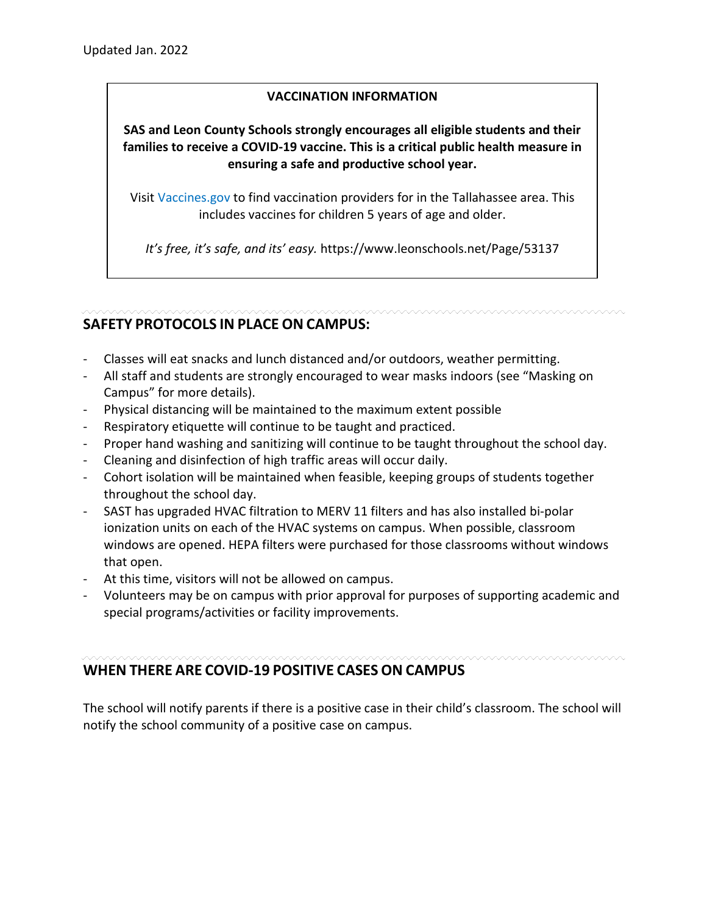### **VACCINATION INFORMATION**

### **SAS and Leon County Schools strongly encourages all eligible students and their families to receive a COVID-19 vaccine. This is a critical public health measure in ensuring a safe and productive school year.**

Visit Vaccines.gov to find vaccination providers for in the Tallahassee area. This includes vaccines for children 5 years of age and older.

*It's free, it's safe, and its' easy.* https://www.leonschools.net/Page/53137

## **SAFETY PROTOCOLS IN PLACE ON CAMPUS:**

- Classes will eat snacks and lunch distanced and/or outdoors, weather permitting.
- All staff and students are strongly encouraged to wear masks indoors (see "Masking on Campus" for more details).
- Physical distancing will be maintained to the maximum extent possible
- Respiratory etiquette will continue to be taught and practiced.
- Proper hand washing and sanitizing will continue to be taught throughout the school day.
- Cleaning and disinfection of high traffic areas will occur daily.
- Cohort isolation will be maintained when feasible, keeping groups of students together throughout the school day.
- SAST has upgraded HVAC filtration to MERV 11 filters and has also installed bi-polar ionization units on each of the HVAC systems on campus. When possible, classroom windows are opened. HEPA filters were purchased for those classrooms without windows that open.
- At this time, visitors will not be allowed on campus.
- Volunteers may be on campus with prior approval for purposes of supporting academic and special programs/activities or facility improvements.

## **WHEN THERE ARE COVID-19 POSITIVE CASES ON CAMPUS**

The school will notify parents if there is a positive case in their child's classroom. The school will notify the school community of a positive case on campus.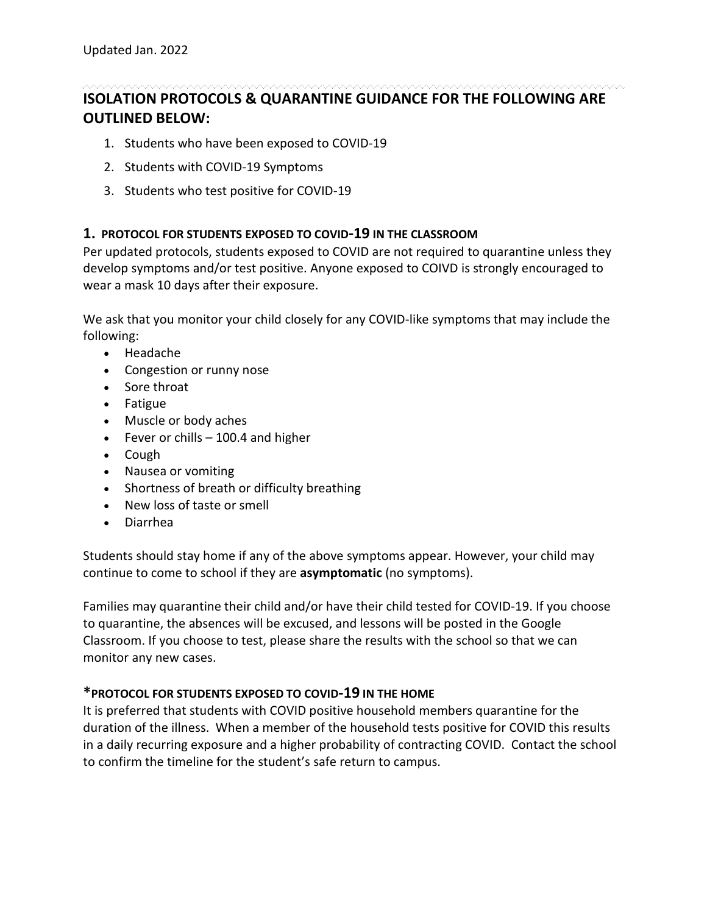# **ISOLATION PROTOCOLS & QUARANTINE GUIDANCE FOR THE FOLLOWING ARE OUTLINED BELOW:**

- 1. Students who have been exposed to COVID-19
- 2. Students with COVID-19 Symptoms
- 3. Students who test positive for COVID-19

#### **1. PROTOCOL FOR STUDENTS EXPOSED TO COVID-19 IN THE CLASSROOM**

Per updated protocols, students exposed to COVID are not required to quarantine unless they develop symptoms and/or test positive. Anyone exposed to COIVD is strongly encouraged to wear a mask 10 days after their exposure.

We ask that you monitor your child closely for any COVID-like symptoms that may include the following:

- Headache
- Congestion or runny nose
- Sore throat
- Fatigue
- Muscle or body aches
- Fever or chills 100.4 and higher
- Cough
- Nausea or vomiting
- Shortness of breath or difficulty breathing
- New loss of taste or smell
- Diarrhea

Students should stay home if any of the above symptoms appear. However, your child may continue to come to school if they are **asymptomatic** (no symptoms).

Families may quarantine their child and/or have their child tested for COVID-19. If you choose to quarantine, the absences will be excused, and lessons will be posted in the Google Classroom. If you choose to test, please share the results with the school so that we can monitor any new cases.

#### **\*PROTOCOL FOR STUDENTS EXPOSED TO COVID-19 IN THE HOME**

It is preferred that students with COVID positive household members quarantine for the duration of the illness. When a member of the household tests positive for COVID this results in a daily recurring exposure and a higher probability of contracting COVID. Contact the school to confirm the timeline for the student's safe return to campus.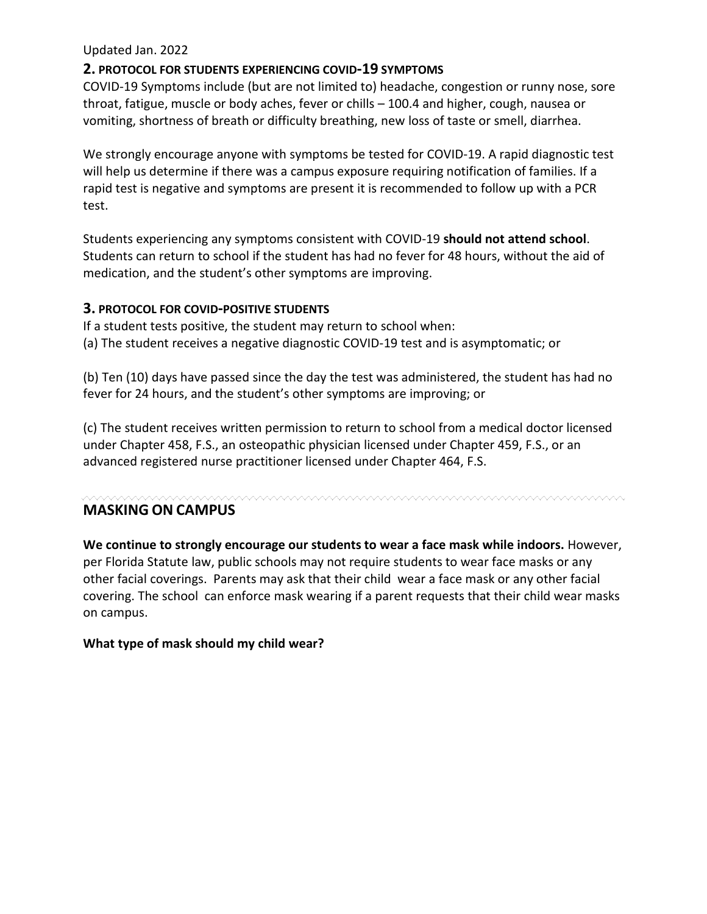#### Updated Jan. 2022

#### **2. PROTOCOL FOR STUDENTS EXPERIENCING COVID-19 SYMPTOMS**

COVID-19 Symptoms include (but are not limited to) headache, congestion or runny nose, sore throat, fatigue, muscle or body aches, fever or chills – 100.4 and higher, cough, nausea or vomiting, shortness of breath or difficulty breathing, new loss of taste or smell, diarrhea.

We strongly encourage anyone with symptoms be tested for COVID-19. A rapid diagnostic test will help us determine if there was a campus exposure requiring notification of families. If a rapid test is negative and symptoms are present it is recommended to follow up with a PCR test.

Students experiencing any symptoms consistent with COVID-19 **should not attend school**. Students can return to school if the student has had no fever for 48 hours, without the aid of medication, and the student's other symptoms are improving.

#### **3. PROTOCOL FOR COVID-POSITIVE STUDENTS**

If a student tests positive, the student may return to school when: (a) The student receives a negative diagnostic COVID-19 test and is asymptomatic; or

(b) Ten (10) days have passed since the day the test was administered, the student has had no fever for 24 hours, and the student's other symptoms are improving; or

(c) The student receives written permission to return to school from a medical doctor licensed under Chapter 458, F.S., an osteopathic physician licensed under Chapter 459, F.S., or an advanced registered nurse practitioner licensed under Chapter 464, F.S.

### **MASKING ON CAMPUS**

**We continue to strongly encourage our students to wear a face mask while indoors.** However, per Florida Statute law, public schools may not require students to wear face masks or any other facial coverings. Parents may ask that their child wear a face mask or any other facial covering. The school can enforce mask wearing if a parent requests that their child wear masks on campus.

#### **What type of mask should my child wear?**